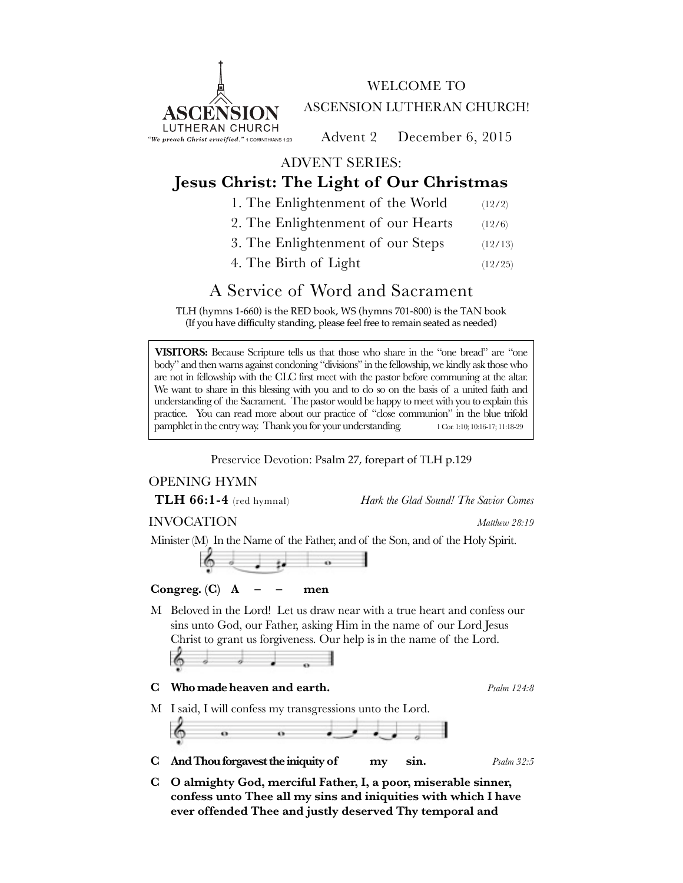

WELCOME TO ASCENSION LUTHERAN CHURCH!

Advent 2 December 6, 2015

ADVENT SERIES:

## **Jesus Christ: The Light of Our Christmas**

- 1. The Enlightenment of the World (12/2)
- 2. The Enlightenment of our Hearts (12/6)
- 3. The Enlightenment of our Steps (12/13)
- 4. The Birth of Light (12/25)

## A Service of Word and Sacrament

TLH (hymns 1-660) is the RED book, WS (hymns 701-800) is the TAN book (If you have difficulty standing, please feel free to remain seated as needed)

**VISITORS:** Because Scripture tells us that those who share in the "one bread" are "one body" and then warns against condoning "divisions" in the fellowship, we kindly ask those who are not in fellowship with the CLC first meet with the pastor before communing at the altar. We want to share in this blessing with you and to do so on the basis of a united faith and understanding of the Sacrament. The pastor would be happy to meet with you to explain this practice. You can read more about our practice of "close communion" in the blue trifold pamphlet in the entry way. Thank you for your understanding. 1 Cor. 1:10; 10:16-17; 11:18-29

Preservice Devotion: Psalm 27, forepart of TLH p.129

## OPENING HYMN

**TLH 66:1-4** (red hymnal) *Hark the Glad Sound! The Savior Comes*

INVOCATION *Matthew 28:19*

Minister (M) In the Name of the Father, and of the Son, and of the Holy Spirit.



## Congreg.  $(C)$  **A** – – men

M Beloved in the Lord! Let us draw near with a true heart and confess our sins unto God, our Father, asking Him in the name of our Lord Jesus Christ to grant us forgiveness. Our help is in the name of the Lord.

$$
\langle \cdot \rangle \qquad \qquad \Box
$$

**C Who made heaven and earth.** *Psalm 124:8*

M I said, I will confess my transgressions unto the Lord.

- **C And Thou forgavest the iniquity of my sin.** *Psalm 32:5*
- **C O almighty God, merciful Father, I, a poor, miserable sinner, confess unto Thee all my sins and iniquities with which I have ever offended Thee and justly deserved Thy temporal and**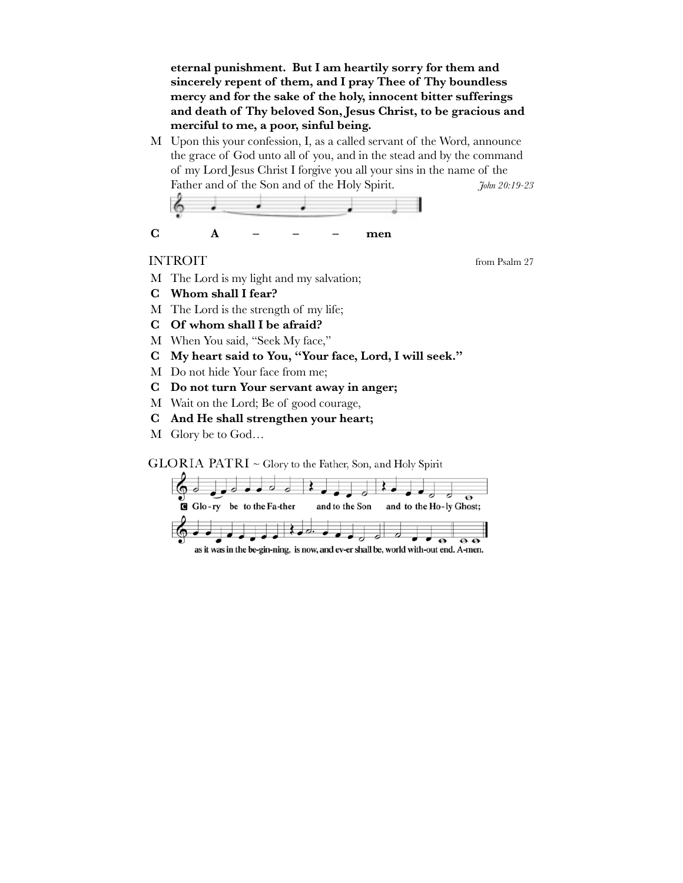**eternal punishment. But I am heartily sorry for them and sincerely repent of them, and I pray Thee of Thy boundless mercy and for the sake of the holy, innocent bitter sufferings and death of Thy beloved Son, Jesus Christ, to be gracious and merciful to me, a poor, sinful being.**

M Upon this your confession, I, as a called servant of the Word, announce the grace of God unto all of you, and in the stead and by the command of my Lord Jesus Christ I forgive you all your sins in the name of the Father and of the Son and of the Holy Spirit. *John 20:19-23*



## INTROIT from Psalm 27

- M The Lord is my light and my salvation;
- **C Whom shall I fear?**
- M The Lord is the strength of my life;
- **C Of whom shall I be afraid?**
- M When You said, "Seek My face,"
- **C My heart said to You, "Your face, Lord, I will seek."**
- M Do not hide Your face from me;
- **C Do not turn Your servant away in anger;**
- M Wait on the Lord; Be of good courage,
- **C And He shall strengthen your heart;**
- M Glory be to God…

 $GLORIA$  PATRI  $\sim$  Glory to the Father, Son, and Holy Spirit

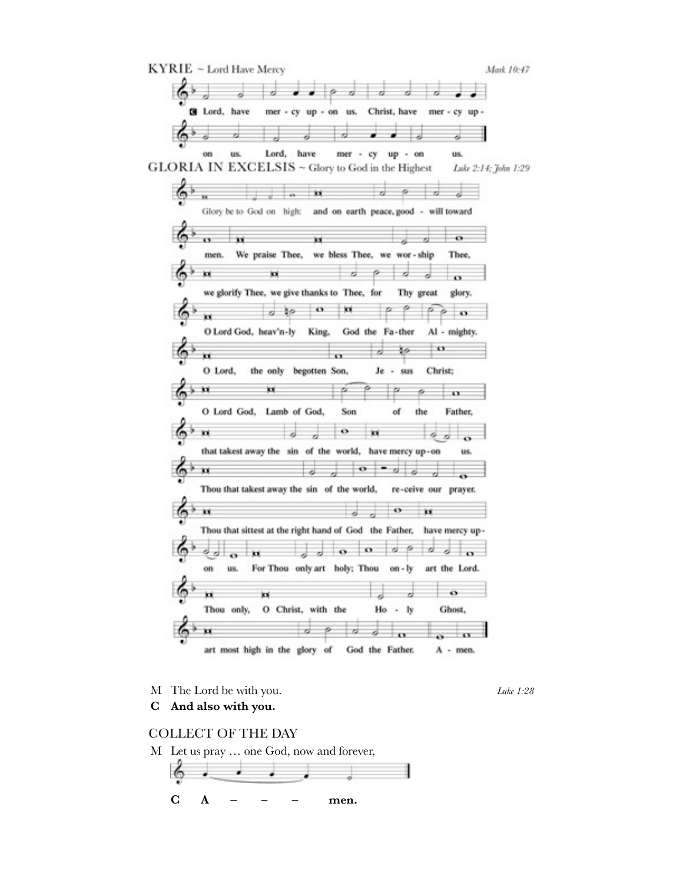

M The Lord be with you. *Luke 1:28*

**C And also with you.**

COLLECT OF THE DAY

M Let us pray … one God, now and forever,

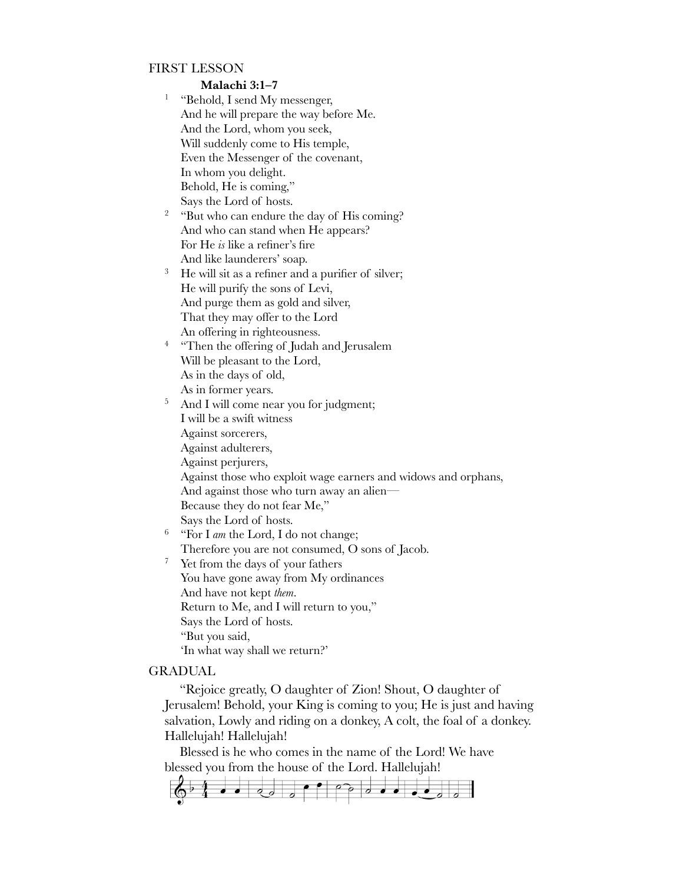## FIRST LESSON

**Malachi 3:1–7**

- <sup>1</sup> "Behold, I send My messenger, And he will prepare the way before Me. And the Lord, whom you seek, Will suddenly come to His temple, Even the Messenger of the covenant, In whom you delight. Behold, He is coming," Says the Lord of hosts.
- <sup>2</sup> "But who can endure the day of His coming? And who can stand when He appears? For He *is* like a refiner's fire And like launderers' soap.
- <sup>3</sup> He will sit as a refiner and a purifier of silver; He will purify the sons of Levi, And purge them as gold and silver, That they may offer to the Lord An offering in righteousness.
- <sup>4</sup> "Then the offering of Judah and Jerusalem Will be pleasant to the Lord, As in the days of old, As in former years.
- <sup>5</sup> And I will come near you for judgment; I will be a swift witness Against sorcerers, Against adulterers, Against perjurers, Against those who exploit wage earners and widows and orphans, And against those who turn away an alien— Because they do not fear Me,"
	- Says the Lord of hosts.
- <sup>6</sup> "For I *am* the Lord, I do not change; Therefore you are not consumed, O sons of Jacob.
- <sup>7</sup> Yet from the days of your fathers You have gone away from My ordinances And have not kept *them*. Return to Me, and I will return to you," Says the Lord of hosts. "But you said, 'In what way shall we return?'

#### GRADUAL

"Rejoice greatly, O daughter of Zion! Shout, O daughter of Jerusalem! Behold, your King is coming to you; He is just and having salvation, Lowly and riding on a donkey, A colt, the foal of a donkey. Hallelujah! Hallelujah!

Blessed is he who comes in the name of the Lord! We have blessed you from the house of the Lord. Hallelujah!

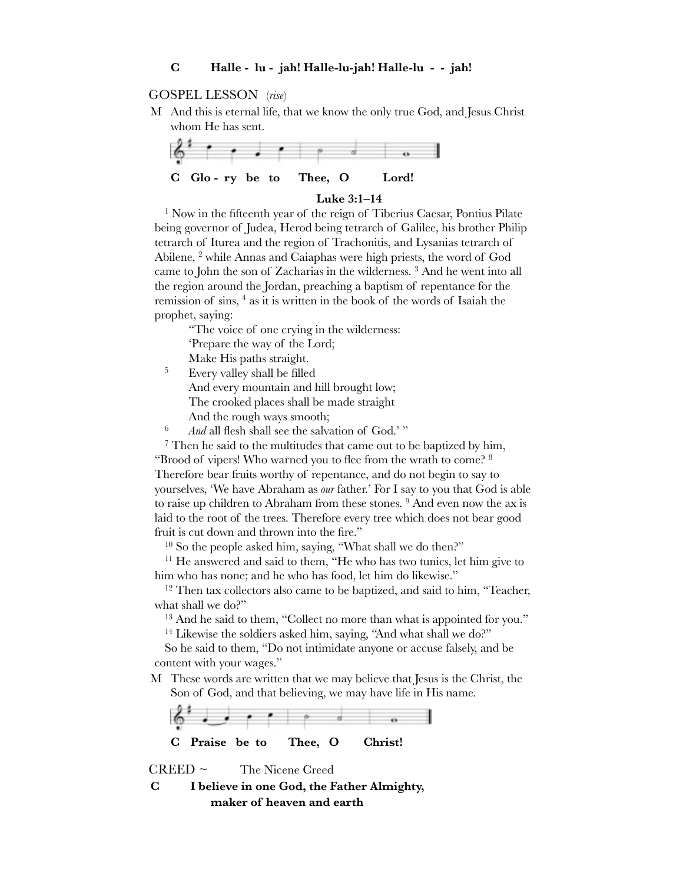#### **C Halle - lu - jah! Halle-lu-jah! Halle-lu - - jah!**

#### GOSPEL LESSON(*rise*)

M And this is eternal life, that we know the only true God, and Jesus Christ whom He has sent.



#### **Luke 3:1–14**

1 Now in the fifteenth year of the reign of Tiberius Caesar, Pontius Pilate being governor of Judea, Herod being tetrarch of Galilee, his brother Philip tetrarch of Iturea and the region of Trachonitis, and Lysanias tetrarch of Abilene, <sup>2</sup> while Annas and Caiaphas were high priests, the word of God came to John the son of Zacharias in the wilderness.<sup>3</sup> And he went into all the region around the Jordan, preaching a baptism of repentance for the remission of sins, <sup>4</sup> as it is written in the book of the words of Isaiah the prophet, saying:

"The voice of one crying in the wilderness: 'Prepare the way of the Lord;

Make His paths straight.

<sup>5</sup> Every valley shall be filled

And every mountain and hill brought low; The crooked places shall be made straight And the rough ways smooth;

<sup>6</sup> *And* all flesh shall see the salvation of God.' "

 $7$  Then he said to the multitudes that came out to be baptized by him, "Brood of vipers! Who warned you to flee from the wrath to come? 8 Therefore bear fruits worthy of repentance, and do not begin to say to yourselves, 'We have Abraham as *our* father.' For I say to you that God is able to raise up children to Abraham from these stones. <sup>9</sup> And even now the ax is laid to the root of the trees. Therefore every tree which does not bear good fruit is cut down and thrown into the fire."

10 So the people asked him, saying, "What shall we do then?"

<sup>11</sup> He answered and said to them, "He who has two tunics, let him give to him who has none; and he who has food, let him do likewise."

<sup>12</sup> Then tax collectors also came to be baptized, and said to him, "Teacher, what shall we do?"

<sup>13</sup> And he said to them, "Collect no more than what is appointed for you."

<sup>14</sup> Likewise the soldiers asked him, saying, "And what shall we do?"

So he said to them, "Do not intimidate anyone or accuse falsely, and be content with your wages."

M These words are written that we may believe that Jesus is the Christ, the Son of God, and that believing, we may have life in His name.



 $CREED \sim$  The Nicene Creed

**C I believe in one God, the Father Almighty, maker of heaven and earth**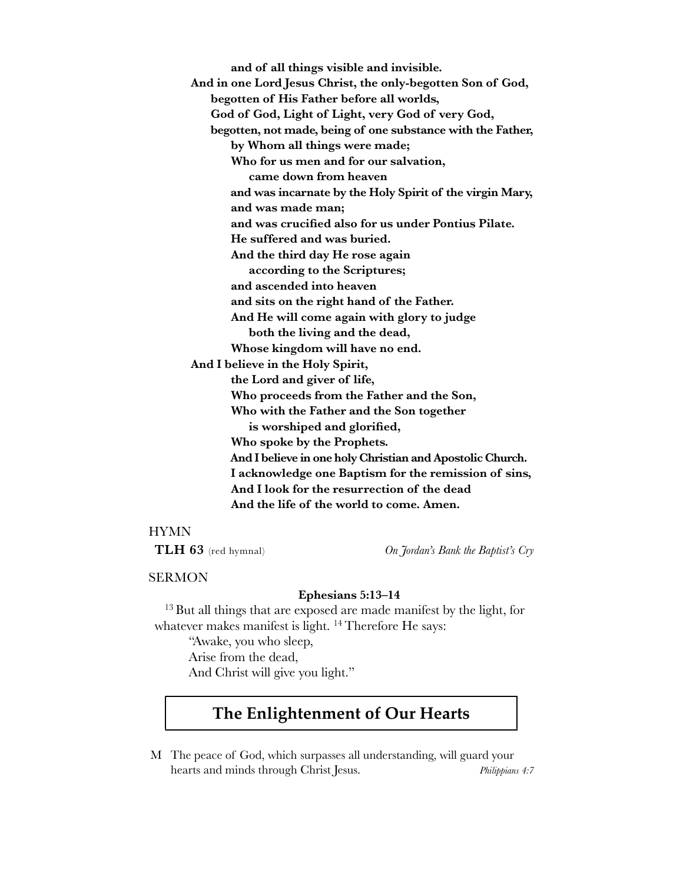**and of all things visible and invisible. And in one Lord Jesus Christ, the only-begotten Son of God, begotten of His Father before all worlds, God of God, Light of Light, very God of very God, begotten, not made, being of one substance with the Father, by Whom all things were made;**  Who for us men and for our salvation,  **came down from heaven and was incarnate by the Holy Spirit of the virgin Mary, and was made man; and was crucified also for us under Pontius Pilate. He suffered and was buried. And the third day He rose again according to the Scriptures; and ascended into heaven and sits on the right hand of the Father. And He will come again with glory to judge both the living and the dead,** Whose kingdom will have no end. **And I believe in the Holy Spirit, the Lord and giver of life, Who proceeds from the Father and the Son, Who with the Father and the Son together is worshiped and glorified, Who spoke by the Prophets.**  And I believe in one holy Christian and Apostolic Church. I acknowledge one Baptism for the remission of sins,  **And I look for the resurrection of the dead And the life of the world to come. Amen.**

## HYMN

**TLH 63** (red hymnal) *On Jordan's Bank the Baptist's Cry*

## SERMON

#### **Ephesians 5:13–14**

<sup>13</sup> But all things that are exposed are made manifest by the light, for whatever makes manifest is light. <sup>14</sup> Therefore He says:

"Awake, you who sleep, Arise from the dead, And Christ will give you light."

# **The Enlightenment of Our Hearts**

M The peace of God, which surpasses all understanding, will guard your hearts and minds through Christ Jesus. *Philippians 4:7*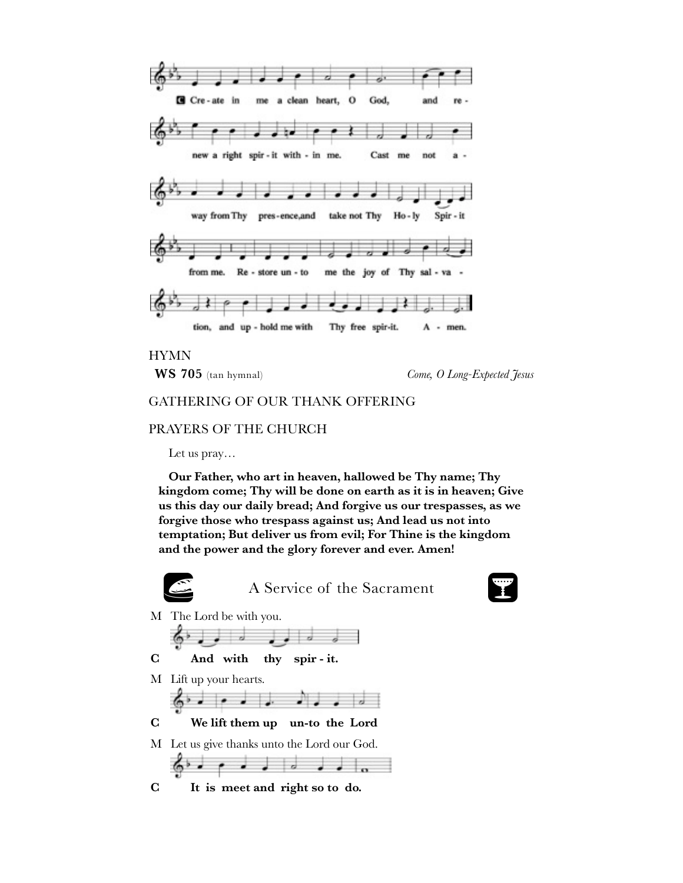

HYMN

**WS 705** (tan hymnal) *Come, O Long-Expected Jesus*

## GATHERING OF OUR THANK OFFERING

## PRAYERS OF THE CHURCH

Let us pray…

**Our Father, who art in heaven, hallowed be Thy name; Thy kingdom come; Thy will be done on earth as it is in heaven; Give us this day our daily bread; And forgive us our trespasses, as we forgive those who trespass against us; And lead us not into temptation; But deliver us from evil; For Thine is the kingdom and the power and the glory forever and ever. Amen!**



A Service of the Sacrament



M The Lord be with you.

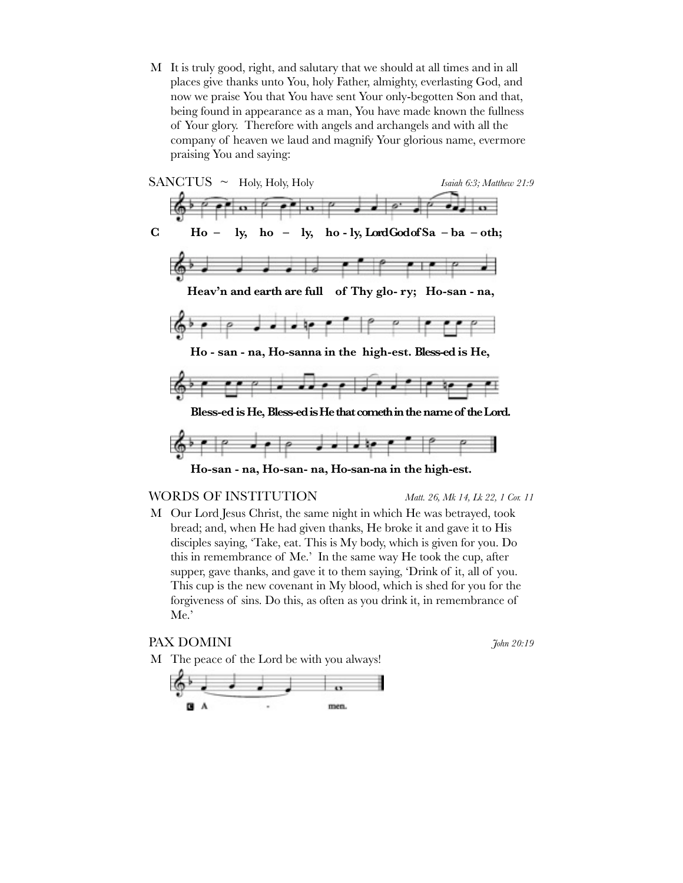M It is truly good, right, and salutary that we should at all times and in all places give thanks unto You, holy Father, almighty, everlasting God, and now we praise You that You have sent Your only-begotten Son and that, being found in appearance as a man, You have made known the fullness of Your glory. Therefore with angels and archangels and with all the company of heaven we laud and magnify Your glorious name, evermore praising You and saying:



#### WORDS OF INSTITUTION *Matt. 26, Mk 14, Lk 22, 1 Cor. 11*

M Our Lord Jesus Christ, the same night in which He was betrayed, took bread; and, when He had given thanks, He broke it and gave it to His disciples saying, 'Take, eat. This is My body, which is given for you. Do this in remembrance of Me.' In the same way He took the cup, after supper, gave thanks, and gave it to them saying, 'Drink of it, all of you. This cup is the new covenant in My blood, which is shed for you for the forgiveness of sins. Do this, as often as you drink it, in remembrance of Me.'

## PAX DOMINI *John 20:19*

M The peace of the Lord be with you always!

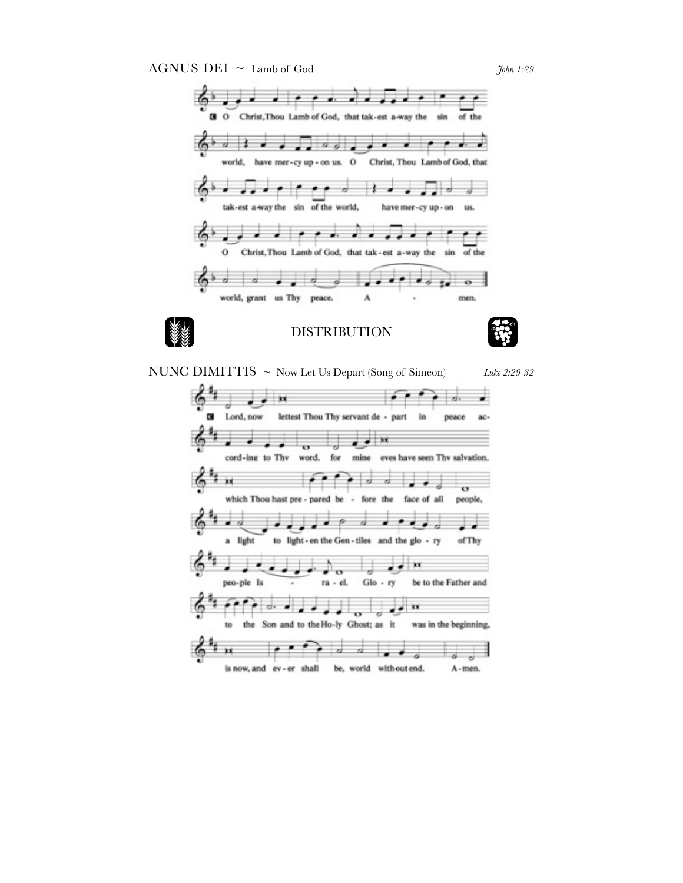AGNUS DEI ~ Lamb of God *John 1:29* 



NUNC DIMITTIS ~ Now Let Us Depart (Song of Simeon) *Luke 2:29-32*